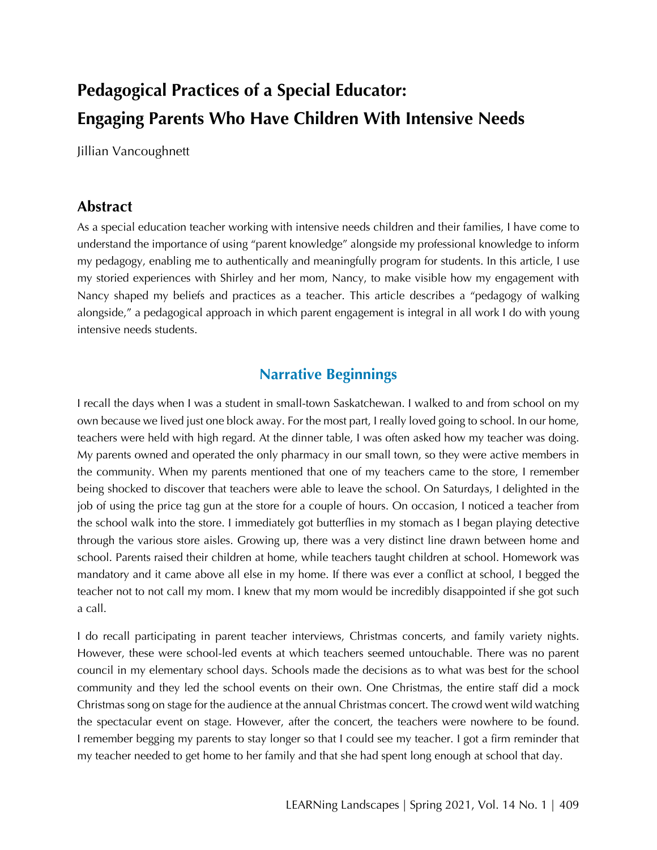# **Pedagogical Practices of a Special Educator: Engaging Parents Who Have Children With Intensive Needs**

Jillian Vancoughnett

### **Abstract**

As a special education teacher working with intensive needs children and their families, I have come to understand the importance of using "parent knowledge" alongside my professional knowledge to inform my pedagogy, enabling me to authentically and meaningfully program for students. In this article, I use my storied experiences with Shirley and her mom, Nancy, to make visible how my engagement with Nancy shaped my beliefs and practices as a teacher. This article describes a "pedagogy of walking alongside," a pedagogical approach in which parent engagement is integral in all work I do with young intensive needs students.

## **Narrative Beginnings**

I recall the days when I was a student in small-town Saskatchewan. I walked to and from school on my own because we lived just one block away. For the most part, I really loved going to school. In our home, teachers were held with high regard. At the dinner table, I was often asked how my teacher was doing. My parents owned and operated the only pharmacy in our small town, so they were active members in the community. When my parents mentioned that one of my teachers came to the store, I remember being shocked to discover that teachers were able to leave the school. On Saturdays, I delighted in the job of using the price tag gun at the store for a couple of hours. On occasion, I noticed a teacher from the school walk into the store. I immediately got butterflies in my stomach as I began playing detective through the various store aisles. Growing up, there was a very distinct line drawn between home and school. Parents raised their children at home, while teachers taught children at school. Homework was mandatory and it came above all else in my home. If there was ever a conflict at school, I begged the teacher not to not call my mom. I knew that my mom would be incredibly disappointed if she got such a call.

I do recall participating in parent teacher interviews, Christmas concerts, and family variety nights. However, these were school-led events at which teachers seemed untouchable. There was no parent council in my elementary school days. Schools made the decisions as to what was best for the school community and they led the school events on their own. One Christmas, the entire staff did a mock Christmas song on stage for the audience at the annual Christmas concert. The crowd went wild watching the spectacular event on stage. However, after the concert, the teachers were nowhere to be found. I remember begging my parents to stay longer so that I could see my teacher. I got a firm reminder that my teacher needed to get home to her family and that she had spent long enough at school that day.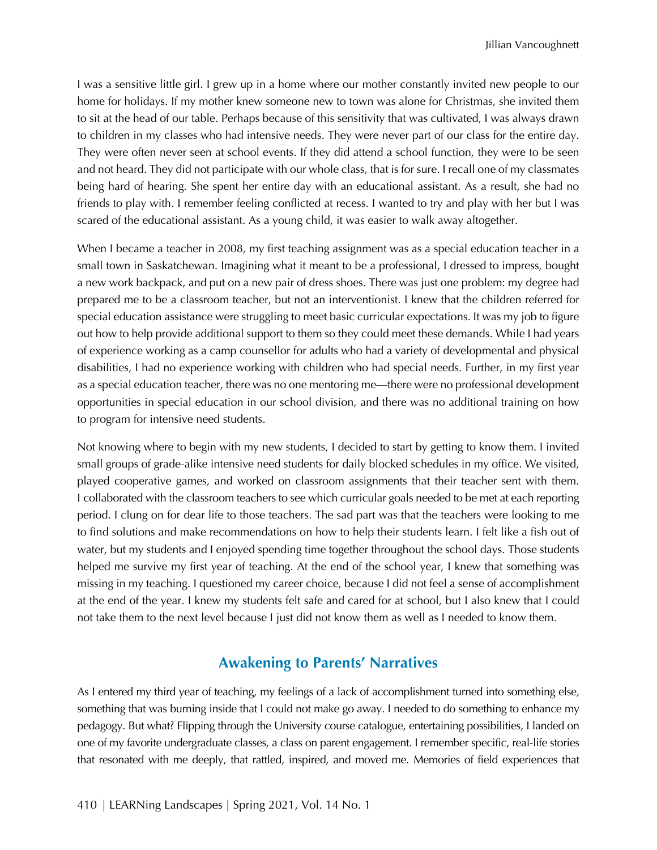I was a sensitive little girl. I grew up in a home where our mother constantly invited new people to our home for holidays. If my mother knew someone new to town was alone for Christmas, she invited them to sit at the head of our table. Perhaps because of this sensitivity that was cultivated, I was always drawn to children in my classes who had intensive needs. They were never part of our class for the entire day. They were often never seen at school events. If they did attend a school function, they were to be seen and not heard. They did not participate with our whole class, that is for sure. I recall one of my classmates being hard of hearing. She spent her entire day with an educational assistant. As a result, she had no friends to play with. I remember feeling conflicted at recess. I wanted to try and play with her but I was scared of the educational assistant. As a young child, it was easier to walk away altogether.

When I became a teacher in 2008, my first teaching assignment was as a special education teacher in a small town in Saskatchewan. Imagining what it meant to be a professional, I dressed to impress, bought a new work backpack, and put on a new pair of dress shoes. There was just one problem: my degree had prepared me to be a classroom teacher, but not an interventionist. I knew that the children referred for special education assistance were struggling to meet basic curricular expectations. It was my job to figure out how to help provide additional support to them so they could meet these demands. While I had years of experience working as a camp counsellor for adults who had a variety of developmental and physical disabilities, I had no experience working with children who had special needs. Further, in my first year as a special education teacher, there was no one mentoring me—there were no professional development opportunities in special education in our school division, and there was no additional training on how to program for intensive need students.

Not knowing where to begin with my new students, I decided to start by getting to know them. I invited small groups of grade-alike intensive need students for daily blocked schedules in my office. We visited, played cooperative games, and worked on classroom assignments that their teacher sent with them. I collaborated with the classroom teachers to see which curricular goals needed to be met at each reporting period. I clung on for dear life to those teachers. The sad part was that the teachers were looking to me to find solutions and make recommendations on how to help their students learn. I felt like a fish out of water, but my students and I enjoyed spending time together throughout the school days. Those students helped me survive my first year of teaching. At the end of the school year, I knew that something was missing in my teaching. I questioned my career choice, because I did not feel a sense of accomplishment at the end of the year. I knew my students felt safe and cared for at school, but I also knew that I could not take them to the next level because I just did not know them as well as I needed to know them.

# **Awakening to Parents' Narratives**

As I entered my third year of teaching, my feelings of a lack of accomplishment turned into something else, something that was burning inside that I could not make go away. I needed to do something to enhance my pedagogy. But what? Flipping through the University course catalogue, entertaining possibilities, I landed on one of my favorite undergraduate classes, a class on parent engagement. I remember specific, real-life stories that resonated with me deeply, that rattled, inspired, and moved me. Memories of field experiences that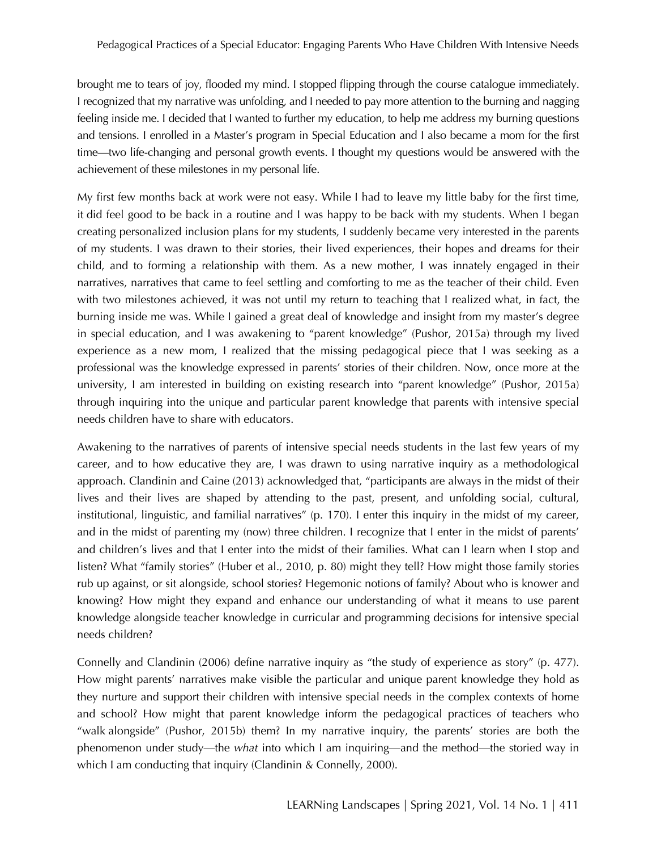brought me to tears of joy, flooded my mind. I stopped flipping through the course catalogue immediately. I recognized that my narrative was unfolding, and I needed to pay more attention to the burning and nagging feeling inside me. I decided that I wanted to further my education, to help me address my burning questions and tensions. I enrolled in a Master's program in Special Education and I also became a mom for the first time—two life-changing and personal growth events. I thought my questions would be answered with the achievement of these milestones in my personal life.

My first few months back at work were not easy. While I had to leave my little baby for the first time, it did feel good to be back in a routine and I was happy to be back with my students. When I began creating personalized inclusion plans for my students, I suddenly became very interested in the parents of my students. I was drawn to their stories, their lived experiences, their hopes and dreams for their child, and to forming a relationship with them. As a new mother, I was innately engaged in their narratives, narratives that came to feel settling and comforting to me as the teacher of their child. Even with two milestones achieved, it was not until my return to teaching that I realized what, in fact, the burning inside me was. While I gained a great deal of knowledge and insight from my master's degree in special education, and I was awakening to "parent knowledge" (Pushor, 2015a) through my lived experience as a new mom, I realized that the missing pedagogical piece that I was seeking as a professional was the knowledge expressed in parents' stories of their children. Now, once more at the university, I am interested in building on existing research into "parent knowledge" (Pushor, 2015a) through inquiring into the unique and particular parent knowledge that parents with intensive special needs children have to share with educators.

Awakening to the narratives of parents of intensive special needs students in the last few years of my career, and to how educative they are, I was drawn to using narrative inquiry as a methodological approach. Clandinin and Caine (2013) acknowledged that, "participants are always in the midst of their lives and their lives are shaped by attending to the past, present, and unfolding social, cultural, institutional, linguistic, and familial narratives" (p. 170). I enter this inquiry in the midst of my career, and in the midst of parenting my (now) three children. I recognize that I enter in the midst of parents' and children's lives and that I enter into the midst of their families. What can I learn when I stop and listen? What "family stories" (Huber et al., 2010, p. 80) might they tell? How might those family stories rub up against, or sit alongside, school stories? Hegemonic notions of family? About who is knower and knowing? How might they expand and enhance our understanding of what it means to use parent knowledge alongside teacher knowledge in curricular and programming decisions for intensive special needs children?

Connelly and Clandinin (2006) define narrative inquiry as "the study of experience as story" (p. 477). How might parents' narratives make visible the particular and unique parent knowledge they hold as they nurture and support their children with intensive special needs in the complex contexts of home and school? How might that parent knowledge inform the pedagogical practices of teachers who "walk alongside" (Pushor, 2015b) them? In my narrative inquiry, the parents' stories are both the phenomenon under study—the *what* into which I am inquiring—and the method—the storied way in which I am conducting that inquiry (Clandinin & Connelly, 2000).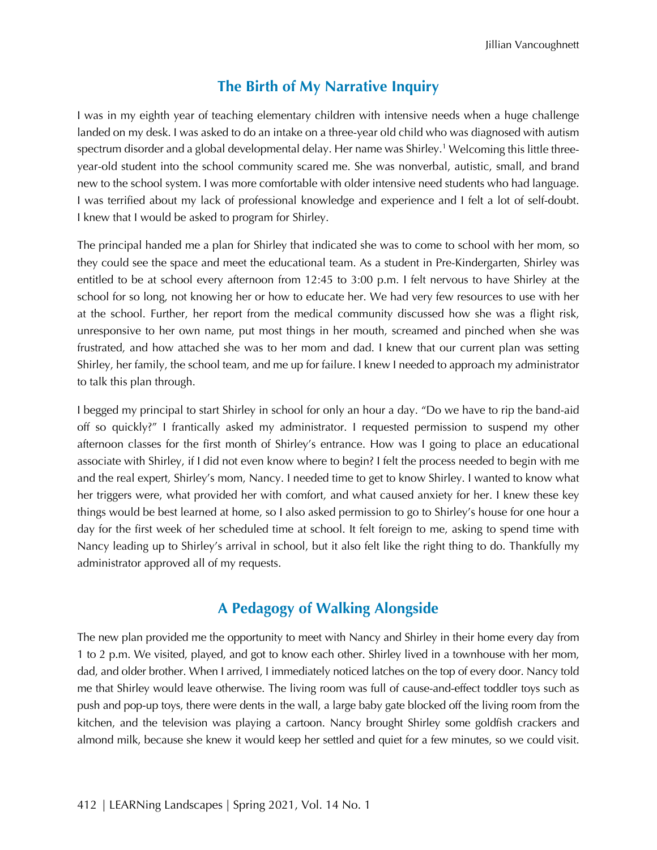# **The Birth of My Narrative Inquiry**

I was in my eighth year of teaching elementary children with intensive needs when a huge challenge landed on my desk. I was asked to do an intake on a three-year old child who was diagnosed with autism spectrum disorder and a global developmental delay. Her name was Shirley.<sup>1</sup> Welcoming this little threeyear-old student into the school community scared me. She was nonverbal, autistic, small, and brand new to the school system. I was more comfortable with older intensive need students who had language. I was terrified about my lack of professional knowledge and experience and I felt a lot of self-doubt. I knew that I would be asked to program for Shirley.

The principal handed me a plan for Shirley that indicated she was to come to school with her mom, so they could see the space and meet the educational team. As a student in Pre-Kindergarten, Shirley was entitled to be at school every afternoon from 12:45 to 3:00 p.m. I felt nervous to have Shirley at the school for so long, not knowing her or how to educate her. We had very few resources to use with her at the school. Further, her report from the medical community discussed how she was a flight risk, unresponsive to her own name, put most things in her mouth, screamed and pinched when she was frustrated, and how attached she was to her mom and dad. I knew that our current plan was setting Shirley, her family, the school team, and me up for failure. I knew I needed to approach my administrator to talk this plan through.

I begged my principal to start Shirley in school for only an hour a day. "Do we have to rip the band-aid off so quickly?" I frantically asked my administrator. I requested permission to suspend my other afternoon classes for the first month of Shirley's entrance. How was I going to place an educational associate with Shirley, if I did not even know where to begin? I felt the process needed to begin with me and the real expert, Shirley's mom, Nancy. I needed time to get to know Shirley. I wanted to know what her triggers were, what provided her with comfort, and what caused anxiety for her. I knew these key things would be best learned at home, so I also asked permission to go to Shirley's house for one hour a day for the first week of her scheduled time at school. It felt foreign to me, asking to spend time with Nancy leading up to Shirley's arrival in school, but it also felt like the right thing to do. Thankfully my administrator approved all of my requests.

# **A Pedagogy of Walking Alongside**

The new plan provided me the opportunity to meet with Nancy and Shirley in their home every day from 1 to 2 p.m. We visited, played, and got to know each other. Shirley lived in a townhouse with her mom, dad, and older brother. When I arrived, I immediately noticed latches on the top of every door. Nancy told me that Shirley would leave otherwise. The living room was full of cause-and-effect toddler toys such as push and pop-up toys, there were dents in the wall, a large baby gate blocked off the living room from the kitchen, and the television was playing a cartoon. Nancy brought Shirley some goldfish crackers and almond milk, because she knew it would keep her settled and quiet for a few minutes, so we could visit.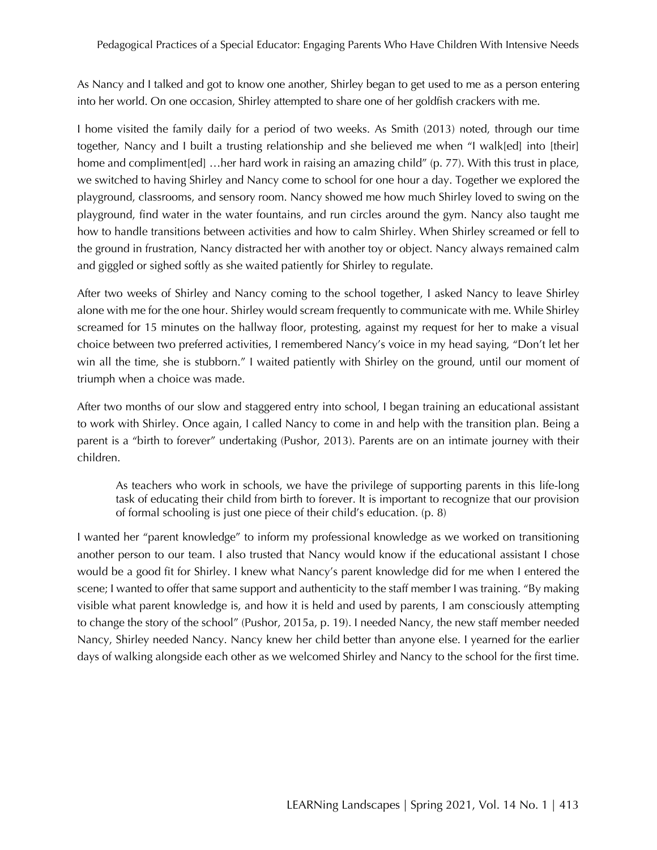As Nancy and I talked and got to know one another, Shirley began to get used to me as a person entering into her world. On one occasion, Shirley attempted to share one of her goldfish crackers with me.

I home visited the family daily for a period of two weeks. As Smith (2013) noted, through our time together, Nancy and I built a trusting relationship and she believed me when "I walk[ed] into [their] home and compliment [ed] …her hard work in raising an amazing child" (p. 77). With this trust in place, we switched to having Shirley and Nancy come to school for one hour a day. Together we explored the playground, classrooms, and sensory room. Nancy showed me how much Shirley loved to swing on the playground, find water in the water fountains, and run circles around the gym. Nancy also taught me how to handle transitions between activities and how to calm Shirley. When Shirley screamed or fell to the ground in frustration, Nancy distracted her with another toy or object. Nancy always remained calm and giggled or sighed softly as she waited patiently for Shirley to regulate.

After two weeks of Shirley and Nancy coming to the school together, I asked Nancy to leave Shirley alone with me for the one hour. Shirley would scream frequently to communicate with me. While Shirley screamed for 15 minutes on the hallway floor, protesting, against my request for her to make a visual choice between two preferred activities, I remembered Nancy's voice in my head saying, "Don't let her win all the time, she is stubborn." I waited patiently with Shirley on the ground, until our moment of triumph when a choice was made.

After two months of our slow and staggered entry into school, I began training an educational assistant to work with Shirley. Once again, I called Nancy to come in and help with the transition plan. Being a parent is a "birth to forever" undertaking (Pushor, 2013). Parents are on an intimate journey with their children.

As teachers who work in schools, we have the privilege of supporting parents in this life-long task of educating their child from birth to forever. It is important to recognize that our provision of formal schooling is just one piece of their child's education. (p. 8)

I wanted her "parent knowledge" to inform my professional knowledge as we worked on transitioning another person to our team. I also trusted that Nancy would know if the educational assistant I chose would be a good fit for Shirley. I knew what Nancy's parent knowledge did for me when I entered the scene; I wanted to offer that same support and authenticity to the staff member I was training. "By making visible what parent knowledge is, and how it is held and used by parents, I am consciously attempting to change the story of the school" (Pushor, 2015a, p. 19). I needed Nancy, the new staff member needed Nancy, Shirley needed Nancy. Nancy knew her child better than anyone else. I yearned for the earlier days of walking alongside each other as we welcomed Shirley and Nancy to the school for the first time.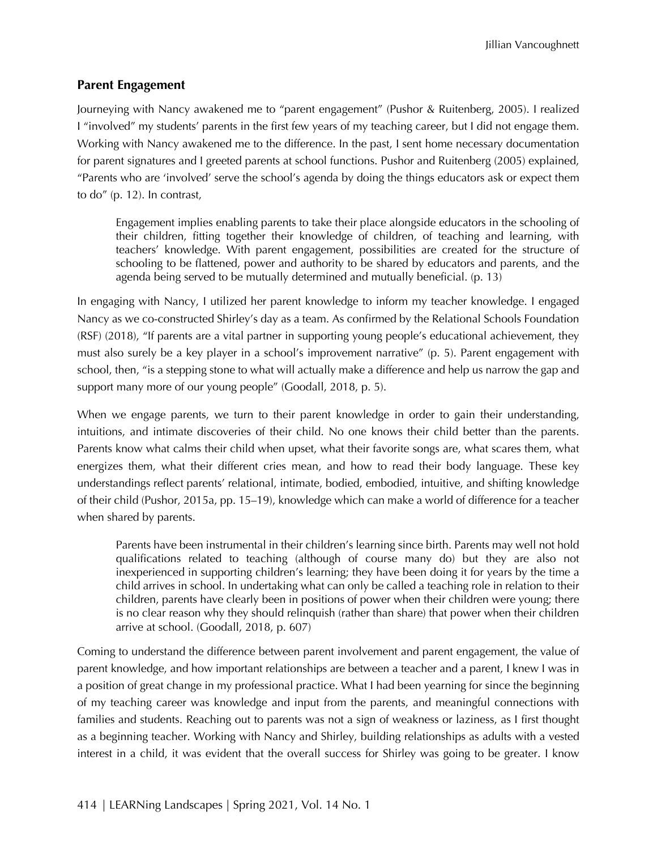#### **Parent Engagement**

Journeying with Nancy awakened me to "parent engagement" (Pushor & Ruitenberg, 2005). I realized I "involved" my students' parents in the first few years of my teaching career, but I did not engage them. Working with Nancy awakened me to the difference. In the past, I sent home necessary documentation for parent signatures and I greeted parents at school functions. Pushor and Ruitenberg (2005) explained, "Parents who are 'involved' serve the school's agenda by doing the things educators ask or expect them to do" (p. 12). In contrast,

Engagement implies enabling parents to take their place alongside educators in the schooling of their children, fitting together their knowledge of children, of teaching and learning, with teachers' knowledge. With parent engagement, possibilities are created for the structure of schooling to be flattened, power and authority to be shared by educators and parents, and the agenda being served to be mutually determined and mutually beneficial. (p. 13)

In engaging with Nancy, I utilized her parent knowledge to inform my teacher knowledge. I engaged Nancy as we co-constructed Shirley's day as a team. As confirmed by the Relational Schools Foundation (RSF) (2018), "If parents are a vital partner in supporting young people's educational achievement, they must also surely be a key player in a school's improvement narrative" (p. 5). Parent engagement with school, then, "is a stepping stone to what will actually make a difference and help us narrow the gap and support many more of our young people" (Goodall, 2018, p. 5).

When we engage parents, we turn to their parent knowledge in order to gain their understanding, intuitions, and intimate discoveries of their child. No one knows their child better than the parents. Parents know what calms their child when upset, what their favorite songs are, what scares them, what energizes them, what their different cries mean, and how to read their body language. These key understandings reflect parents' relational, intimate, bodied, embodied, intuitive, and shifting knowledge of their child (Pushor, 2015a, pp. 15–19), knowledge which can make a world of difference for a teacher when shared by parents.

Parents have been instrumental in their children's learning since birth. Parents may well not hold qualifications related to teaching (although of course many do) but they are also not inexperienced in supporting children's learning; they have been doing it for years by the time a child arrives in school. In undertaking what can only be called a teaching role in relation to their children, parents have clearly been in positions of power when their children were young; there is no clear reason why they should relinquish (rather than share) that power when their children arrive at school. (Goodall, 2018, p. 607)

Coming to understand the difference between parent involvement and parent engagement, the value of parent knowledge, and how important relationships are between a teacher and a parent, I knew I was in a position of great change in my professional practice. What I had been yearning for since the beginning of my teaching career was knowledge and input from the parents, and meaningful connections with families and students. Reaching out to parents was not a sign of weakness or laziness, as I first thought as a beginning teacher. Working with Nancy and Shirley, building relationships as adults with a vested interest in a child, it was evident that the overall success for Shirley was going to be greater. I know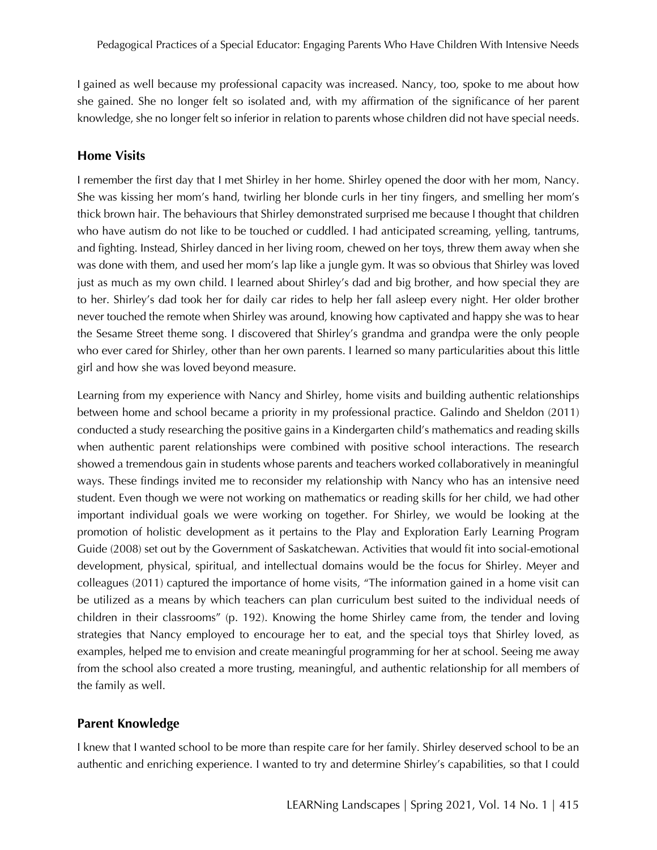I gained as well because my professional capacity was increased. Nancy, too, spoke to me about how she gained. She no longer felt so isolated and, with my affirmation of the significance of her parent knowledge, she no longer felt so inferior in relation to parents whose children did not have special needs.

#### **Home Visits**

I remember the first day that I met Shirley in her home. Shirley opened the door with her mom, Nancy. She was kissing her mom's hand, twirling her blonde curls in her tiny fingers, and smelling her mom's thick brown hair. The behaviours that Shirley demonstrated surprised me because I thought that children who have autism do not like to be touched or cuddled. I had anticipated screaming, yelling, tantrums, and fighting. Instead, Shirley danced in her living room, chewed on her toys, threw them away when she was done with them, and used her mom's lap like a jungle gym. It was so obvious that Shirley was loved just as much as my own child. I learned about Shirley's dad and big brother, and how special they are to her. Shirley's dad took her for daily car rides to help her fall asleep every night. Her older brother never touched the remote when Shirley was around, knowing how captivated and happy she was to hear the Sesame Street theme song. I discovered that Shirley's grandma and grandpa were the only people who ever cared for Shirley, other than her own parents. I learned so many particularities about this little girl and how she was loved beyond measure.

Learning from my experience with Nancy and Shirley, home visits and building authentic relationships between home and school became a priority in my professional practice. Galindo and Sheldon (2011) conducted a study researching the positive gains in a Kindergarten child's mathematics and reading skills when authentic parent relationships were combined with positive school interactions. The research showed a tremendous gain in students whose parents and teachers worked collaboratively in meaningful ways. These findings invited me to reconsider my relationship with Nancy who has an intensive need student. Even though we were not working on mathematics or reading skills for her child, we had other important individual goals we were working on together. For Shirley, we would be looking at the promotion of holistic development as it pertains to the Play and Exploration Early Learning Program Guide (2008) set out by the Government of Saskatchewan. Activities that would fit into social-emotional development, physical, spiritual, and intellectual domains would be the focus for Shirley. Meyer and colleagues (2011) captured the importance of home visits, "The information gained in a home visit can be utilized as a means by which teachers can plan curriculum best suited to the individual needs of children in their classrooms" (p. 192). Knowing the home Shirley came from, the tender and loving strategies that Nancy employed to encourage her to eat, and the special toys that Shirley loved, as examples, helped me to envision and create meaningful programming for her at school. Seeing me away from the school also created a more trusting, meaningful, and authentic relationship for all members of the family as well.

#### **Parent Knowledge**

I knew that I wanted school to be more than respite care for her family. Shirley deserved school to be an authentic and enriching experience. I wanted to try and determine Shirley's capabilities, so that I could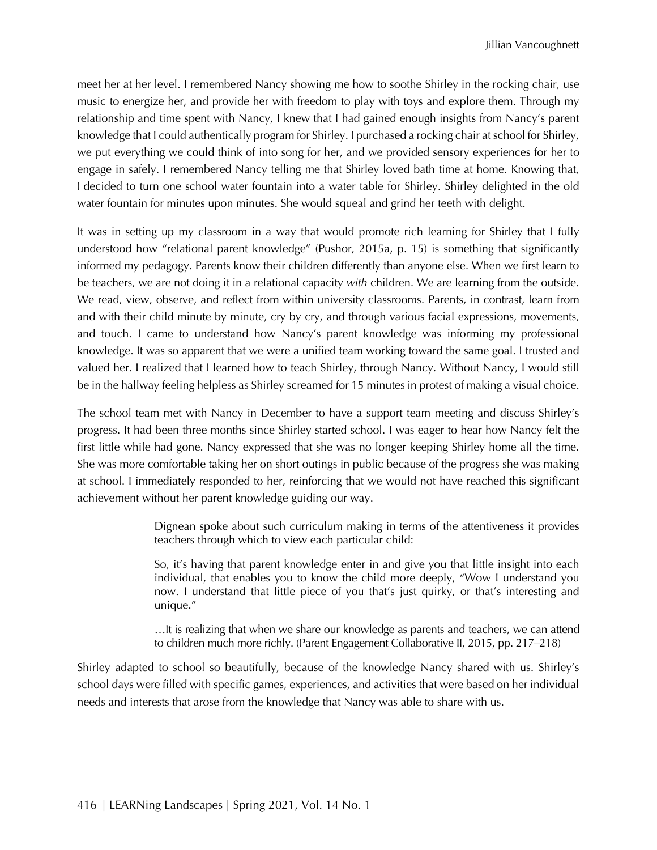meet her at her level. I remembered Nancy showing me how to soothe Shirley in the rocking chair, use music to energize her, and provide her with freedom to play with toys and explore them. Through my relationship and time spent with Nancy, I knew that I had gained enough insights from Nancy's parent knowledge that I could authentically program for Shirley. I purchased a rocking chair at school for Shirley, we put everything we could think of into song for her, and we provided sensory experiences for her to engage in safely. I remembered Nancy telling me that Shirley loved bath time at home. Knowing that, I decided to turn one school water fountain into a water table for Shirley. Shirley delighted in the old water fountain for minutes upon minutes. She would squeal and grind her teeth with delight.

It was in setting up my classroom in a way that would promote rich learning for Shirley that I fully understood how "relational parent knowledge" (Pushor, 2015a, p. 15) is something that significantly informed my pedagogy. Parents know their children differently than anyone else. When we first learn to be teachers, we are not doing it in a relational capacity *with* children. We are learning from the outside. We read, view, observe, and reflect from within university classrooms. Parents, in contrast, learn from and with their child minute by minute, cry by cry, and through various facial expressions, movements, and touch. I came to understand how Nancy's parent knowledge was informing my professional knowledge. It was so apparent that we were a unified team working toward the same goal. I trusted and valued her. I realized that I learned how to teach Shirley, through Nancy. Without Nancy, I would still be in the hallway feeling helpless as Shirley screamed for 15 minutes in protest of making a visual choice.

The school team met with Nancy in December to have a support team meeting and discuss Shirley's progress. It had been three months since Shirley started school. I was eager to hear how Nancy felt the first little while had gone. Nancy expressed that she was no longer keeping Shirley home all the time. She was more comfortable taking her on short outings in public because of the progress she was making at school. I immediately responded to her, reinforcing that we would not have reached this significant achievement without her parent knowledge guiding our way.

> Dignean spoke about such curriculum making in terms of the attentiveness it provides teachers through which to view each particular child:

> So, it's having that parent knowledge enter in and give you that little insight into each individual, that enables you to know the child more deeply, "Wow I understand you now. I understand that little piece of you that's just quirky, or that's interesting and unique."

> …It is realizing that when we share our knowledge as parents and teachers, we can attend to children much more richly. (Parent Engagement Collaborative II, 2015, pp. 217–218)

Shirley adapted to school so beautifully, because of the knowledge Nancy shared with us. Shirley's school days were filled with specific games, experiences, and activities that were based on her individual needs and interests that arose from the knowledge that Nancy was able to share with us.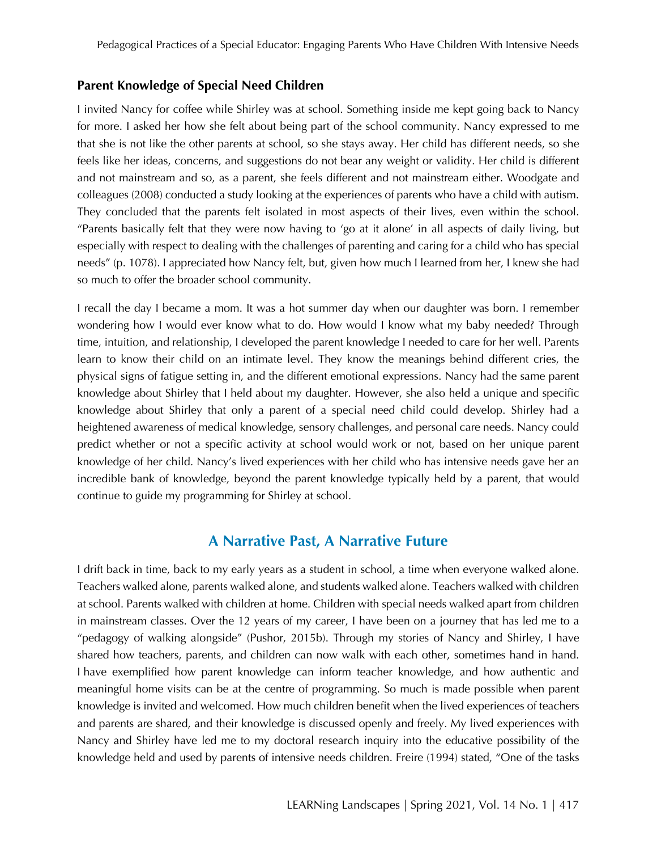#### **Parent Knowledge of Special Need Children**

I invited Nancy for coffee while Shirley was at school. Something inside me kept going back to Nancy for more. I asked her how she felt about being part of the school community. Nancy expressed to me that she is not like the other parents at school, so she stays away. Her child has different needs, so she feels like her ideas, concerns, and suggestions do not bear any weight or validity. Her child is different and not mainstream and so, as a parent, she feels different and not mainstream either. Woodgate and colleagues (2008) conducted a study looking at the experiences of parents who have a child with autism. They concluded that the parents felt isolated in most aspects of their lives, even within the school. "Parents basically felt that they were now having to 'go at it alone' in all aspects of daily living, but especially with respect to dealing with the challenges of parenting and caring for a child who has special needs" (p. 1078). I appreciated how Nancy felt, but, given how much I learned from her, I knew she had so much to offer the broader school community.

I recall the day I became a mom. It was a hot summer day when our daughter was born. I remember wondering how I would ever know what to do. How would I know what my baby needed? Through time, intuition, and relationship, I developed the parent knowledge I needed to care for her well. Parents learn to know their child on an intimate level. They know the meanings behind different cries, the physical signs of fatigue setting in, and the different emotional expressions. Nancy had the same parent knowledge about Shirley that I held about my daughter. However, she also held a unique and specific knowledge about Shirley that only a parent of a special need child could develop. Shirley had a heightened awareness of medical knowledge, sensory challenges, and personal care needs. Nancy could predict whether or not a specific activity at school would work or not, based on her unique parent knowledge of her child. Nancy's lived experiences with her child who has intensive needs gave her an incredible bank of knowledge, beyond the parent knowledge typically held by a parent, that would continue to guide my programming for Shirley at school.

#### **A Narrative Past, A Narrative Future**

I drift back in time, back to my early years as a student in school, a time when everyone walked alone. Teachers walked alone, parents walked alone, and students walked alone. Teachers walked with children at school. Parents walked with children at home. Children with special needs walked apart from children in mainstream classes. Over the 12 years of my career, I have been on a journey that has led me to a "pedagogy of walking alongside" (Pushor, 2015b). Through my stories of Nancy and Shirley, I have shared how teachers, parents, and children can now walk with each other, sometimes hand in hand. I have exemplified how parent knowledge can inform teacher knowledge, and how authentic and meaningful home visits can be at the centre of programming. So much is made possible when parent knowledge is invited and welcomed. How much children benefit when the lived experiences of teachers and parents are shared, and their knowledge is discussed openly and freely. My lived experiences with Nancy and Shirley have led me to my doctoral research inquiry into the educative possibility of the knowledge held and used by parents of intensive needs children. Freire (1994) stated, "One of the tasks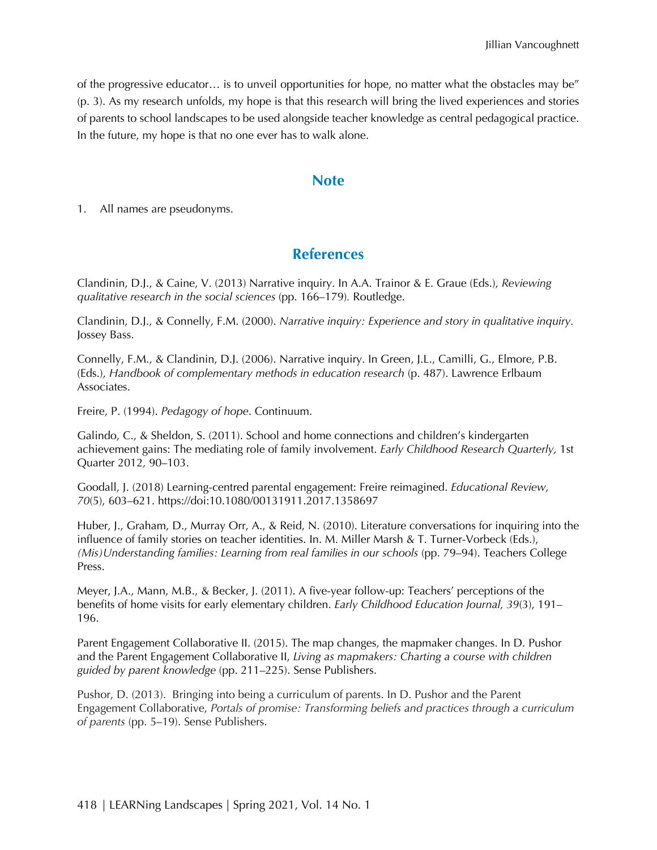of the progressive educator… is to unveil opportunities for hope, no matter what the obstacles may be" (p. 3). As my research unfolds, my hope is that this research will bring the lived experiences and stories of parents to school landscapes to be used alongside teacher knowledge as central pedagogical practice. In the future, my hope is that no one ever has to walk alone.

#### **Note**

1. All names are pseudonyms.

## **References**

Clandinin, D.J., & Caine, V. (2013) Narrative inquiry. In A.A. Trainor & E. Graue (Eds.), *Reviewing qualitative research in the social sciences* (pp. 166–179)*.* Routledge.

Clandinin, D.J., & Connelly, F.M. (2000). *Narrative inquiry: Experience and story in qualitative inquiry.*  Jossey Bass.

Connelly, F.M., & Clandinin, D.J. (2006). Narrative inquiry. In Green, J.L., Camilli, G., Elmore, P.B. (Eds.), *Handbook of complementary methods in education research* (p. 487). Lawrence Erlbaum Associates.

Freire, P. (1994). *Pedagogy of hope*. Continuum.

Galindo, C., & Sheldon, S. (2011). School and home connections and children's kindergarten achievement gains: The mediating role of family involvement. *Early Childhood Research Quarterly,* 1st Quarter 2012*,* 90–103.

Goodall, J. (2018) Learning-centred parental engagement: Freire reimagined. *Educational Review, 70*(5), 603–621. https://doi:10.1080/00131911.2017.1358697

Huber, J., Graham, D., Murray Orr, A., & Reid, N. (2010). Literature conversations for inquiring into the influence of family stories on teacher identities. In. M. Miller Marsh & T. Turner-Vorbeck (Eds.), *(Mis)Understanding families: Learning from real families in our schools (pp. 79–94). Teachers College* Press.

Meyer, J.A., Mann, M.B., & Becker, J. (2011). A five-year follow-up: Teachers' perceptions of the benefits of home visits for early elementary children. *Early Childhood Education Journal, 39*(3), 191– 196.

Parent Engagement Collaborative II. (2015). The map changes, the mapmaker changes. In D. Pushor and the Parent Engagement Collaborative II, *Living as mapmakers: Charting a course with children guided by parent knowledge* (pp. 211–225). Sense Publishers.

Pushor, D. (2013). Bringing into being a curriculum of parents. In D. Pushor and the Parent Engagement Collaborative, *Portals of promise: Transforming beliefs and practices through a curriculum of parents* (pp. 5–19). Sense Publishers.